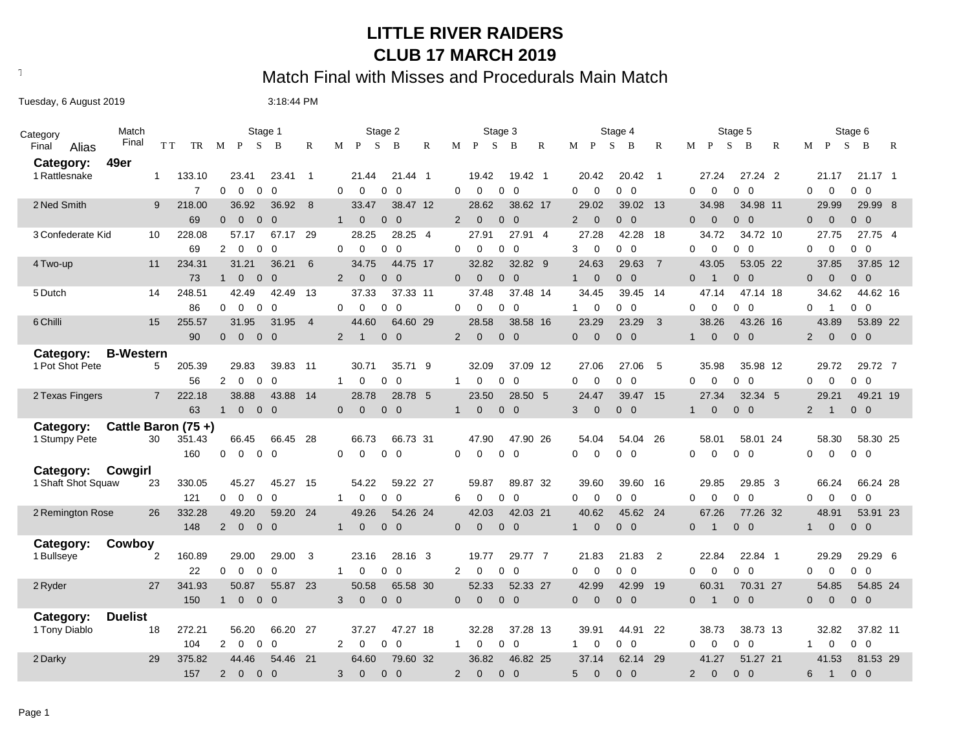### **LITTLE RIVER RAIDERS CLUB 17 MARCH 2019**

# Text497: Match Final with Misses and Procedurals Main Match

Tuesday, 6 August 2019 **1992 12:00 12:00 13:18:44 PM** 

| Category           | Match              |                | Stage 1                                                        |                | Stage 2                                                         | Stage 3                                                      | Stage 4                                        | Stage 5                                                      | Stage 6                                        |
|--------------------|--------------------|----------------|----------------------------------------------------------------|----------------|-----------------------------------------------------------------|--------------------------------------------------------------|------------------------------------------------|--------------------------------------------------------------|------------------------------------------------|
| Final<br>Alias     | Final              | T T<br>TR      | S<br>M P<br>B                                                  | R              | P<br>S<br>$\mathbb{R}$<br>M<br>B                                | $\mathbf{P}$<br><sub>S</sub><br>M<br>B<br>R                  | $M$ $P$<br>S<br>B<br>R                         | $\mathbf{P}$<br><sub>S</sub><br>M<br>B<br>R                  | S<br>$M$ P<br>B<br>R                           |
| Category:          | 49er               |                |                                                                |                |                                                                 |                                                              |                                                |                                                              |                                                |
| 1 Rattlesnake      | $\mathbf 1$        | 133.10         | 23.41<br>23.41                                                 | $\overline{1}$ | 21.44 1<br>21.44                                                | 19.42<br>19.42 1                                             | 20.42<br>20.42<br>$\overline{1}$               | 27.24 2<br>27.24                                             | $21.17$ 1<br>21.17                             |
|                    |                    | $\overline{7}$ | $\Omega$<br>$\Omega$<br>$\Omega$<br>$\Omega$                   |                | $\Omega$<br>$\Omega$<br>$0\quad 0$                              | 0<br>$\Omega$<br>$0\quad 0$                                  | $0\quad 0$<br>$\Omega$<br>$\mathbf 0$          | $\Omega$<br>$\Omega$<br>$0\quad 0$                           | $\Omega$<br>0<br>$0\quad 0$                    |
| 2 Ned Smith        | 9                  | 218.00         | 36.92<br>36.92                                                 | 8              | 38.47 12<br>33.47                                               | 28.62<br>38.62 17                                            | 29.02<br>39.02 13                              | 34.98<br>34.98 11                                            | 29.99<br>29.99 8                               |
|                    |                    | 69             | $0\quad 0$<br>$\Omega$<br>$\overline{0}$                       |                | $\mathbf{1}$<br>$\overline{0}$<br>$0\quad 0$                    | 2<br>$\overline{0}$<br>$0\quad 0$                            | 2<br>$\overline{0}$<br>$0\quad 0$              | $\overline{0}$<br>$0\quad 0$<br>$\Omega$                     | $0\quad 0$<br>$\overline{0}$<br>$\mathbf{0}$   |
| 3 Confederate Kid  | 10                 | 228.08         | 57.17<br>67.17                                                 | 29             | 28.25 4<br>28.25                                                | 27.91<br>27.91 4                                             | 27.28<br>42.28<br>18                           | 34.72 10<br>34.72                                            | 27.75<br>27.75 4                               |
|                    |                    | 69             | $\overline{2}$<br>$\overline{0}$<br>$\mathbf 0$<br>$\mathbf 0$ |                | $\mathbf 0$<br>0<br>$\overline{0}$<br>$\Omega$                  | $\overline{0}$<br>$\Omega$<br>$\mathbf 0$<br>0               | $\mathbf 0$<br>$0\quad 0$<br>3                 | $\mathbf 0$<br>$0\quad 0$<br>0                               | $\mathbf 0$<br>$0\quad 0$<br>0                 |
| 4 Two-up           | 11                 | 234.31         | 31.21<br>36.21                                                 | 6              | 44.75 17<br>34.75                                               | 32.82<br>32.82 9                                             | 24.63<br>29.63 7                               | 43.05<br>53.05 22                                            | 37.85<br>37.85 12                              |
|                    |                    | 73             | $\overline{0}$<br>$\overline{0}$<br>$\overline{0}$<br>1        |                | $\Omega$<br>$0\quad 0$<br>$\overline{2}$                        | $0\quad 0$<br>$\Omega$<br>$\Omega$                           | $\overline{0}$<br>$0\quad 0$<br>1              | $0\quad 0$<br>$\overline{1}$<br>$\Omega$                     | $\overline{0}$<br>$0\quad 0$<br>$\overline{0}$ |
| 5 Dutch            | 14                 | 248.51         | 42.49<br>42.49                                                 | 13             | 37.33<br>37.33 11                                               | 37.48<br>37.48 14                                            | 34.45<br>39.45 14                              | 47.14 18<br>47.14                                            | 34.62<br>44.62 16                              |
|                    |                    | 86             | $\Omega$<br>$\overline{0}$<br>$\mathbf 0$<br>$\Omega$          |                | $\Omega$<br>$0\quad 0$<br>$\Omega$                              | $\Omega$<br>$\mathbf 0$<br>$\overline{0}$<br>$\Omega$        | $\mathbf 0$<br>$0\quad 0$<br>1                 | $\Omega$<br>$0\quad 0$<br>0                                  | $0\quad 0$<br>$\Omega$<br>$\overline{1}$       |
| 6 Chilli           | 15                 | 255.57         | 31.95<br>31.95                                                 | $\overline{4}$ | 44.60<br>64.60 29                                               | 28.58<br>38.58 16                                            | 23.29<br>23.29<br>$\overline{\mathbf{3}}$      | 38.26<br>43.26 16                                            | 43.89<br>53.89 22                              |
|                    |                    | 90             | $\overline{0}$<br>$\overline{0}$<br>$0\quad 0$                 |                | $0\quad 0$<br>2<br>$\overline{1}$                               | $\overline{2}$<br>$\mathbf{0}$<br>$0\quad 0$                 | $\overline{0}$<br>$0\quad 0$<br>$\overline{0}$ | $\mathbf{0}$<br>$0\quad 0$<br>1                              | $\mathbf{0}$<br>$0\quad 0$<br>2                |
| Category:          | <b>B-Western</b>   |                |                                                                |                |                                                                 |                                                              |                                                |                                                              |                                                |
| 1 Pot Shot Pete    | 5                  | 205.39         | 29.83<br>39.83 11                                              |                | 35.71 9<br>30.71                                                | 32.09<br>37.09 12                                            | 27.06<br>27.06<br>5                            | 35.98<br>35.98 12                                            | 29.72<br>29.72 7                               |
|                    |                    | 56             | $\Omega$<br>$\Omega$<br>$\overline{2}$<br>$\Omega$             |                | $\mathbf 0$<br>$\Omega$<br>$\Omega$<br>$\mathbf{1}$             | 0<br>0<br>$\overline{0}$<br>$\mathbf{1}$                     | $\mathbf 0$<br>$0\quad 0$<br>$\Omega$          | $\mathbf 0$<br>$\overline{0}$<br>$\Omega$<br>$\mathbf 0$     | $0\quad 0$<br>$\mathbf 0$<br>$\Omega$          |
| 2 Texas Fingers    | $\overline{7}$     | 222.18         | 38.88<br>43.88                                                 | 14             | 28.78<br>28.78 5                                                | 23.50<br>28.50 5                                             | 24.47<br>39.47 15                              | 27.34<br>32.34 5                                             | 29.21<br>49.21 19                              |
|                    |                    | 63             | $\overline{0}$<br>$0\quad 0$<br>$\mathbf{1}$                   |                | $\overline{0}$<br>$\mathbf{0}$<br>$0\quad 0$                    | $\mathbf{0}$<br>$0\quad 0$<br>1                              | $\mathbf{0}$<br>3<br>$0\quad 0$                | $\mathbf{0}$<br>$\mathbf 0$<br>$\overline{0}$<br>1           | $0\quad 0$<br>$\overline{2}$<br>$\overline{1}$ |
| Category:          | Cattle Baron (75+) |                |                                                                |                |                                                                 |                                                              |                                                |                                                              |                                                |
| 1 Stumpy Pete      | 30                 | 351.43         | 66.45<br>66.45 28                                              |                | 66.73 31<br>66.73                                               | 47.90 26<br>47.90                                            | 54.04<br>54.04<br>26                           | 58.01<br>58.01 24                                            | 58.30<br>58.30 25                              |
|                    |                    | 160            | 0<br>$\overline{0}$<br>$0\quad 0$                              |                | 0<br>$\mathbf 0$<br>$0\quad 0$                                  | 0<br>0<br>$0\quad 0$                                         | $\Omega$<br>$\mathbf 0$<br>$0\quad 0$          | 0<br>0<br>0<br>$\overline{0}$                                | 0<br>0<br>$0\quad 0$                           |
| Category:          | Cowgirl            |                |                                                                |                |                                                                 |                                                              |                                                |                                                              |                                                |
| 1 Shaft Shot Squaw | 23                 | 330.05         | 45.27<br>45.27 15                                              |                | 54.22<br>59.22 27                                               | 89.87 32<br>59.87                                            | 39.60<br>39.60<br>16                           | 29.85<br>29.85 3                                             | 66.24<br>66.24 28                              |
|                    |                    | 121            | $\mathbf 0$<br>$\Omega$<br>0<br>$\Omega$                       |                | $\Omega$<br>$\Omega$<br>0<br>$\mathbf{1}$                       | 6<br>$\Omega$<br>$\overline{0}$<br>$\Omega$                  | $\mathbf 0$<br>$\Omega$<br>$0\quad 0$          | $\mathbf 0$<br>$\Omega$<br>$\Omega$<br>$\overline{0}$        | $\mathbf 0$<br>$\Omega$<br>$0\quad 0$          |
| 2 Remington Rose   | 26                 | 332.28         | 49.20<br>59.20 24                                              |                | 49.26<br>54.26 24                                               | 42.03<br>42.03 21                                            | 40.62<br>45.62 24                              | 67.26<br>77.26 32                                            | 48.91<br>53.91 23                              |
|                    |                    | 148            | $\overline{2}$<br>$\mathbf 0$<br>$0\quad 0$                    |                | $\mathbf 0$<br>$0\quad 0$<br>$\mathbf{1}$                       | $0\quad 0$<br>$\overline{0}$<br>$\mathbf 0$                  | $\mathbf 0$<br>$0\quad 0$<br>$\mathbf{1}$      | $\mathbf 0$<br>$\mathbf 0$<br>$\overline{0}$<br>$\mathbf{1}$ | $\mathbf 0$<br>$0\quad 0$<br>$\mathbf{1}$      |
| Category:          | Cowboy             |                |                                                                |                |                                                                 |                                                              |                                                |                                                              |                                                |
| 1 Bullseye         | $\overline{2}$     | 160.89         | 29.00<br>29.00                                                 | 3              | 23.16<br>28.16 3                                                | 19.77<br>29.77 7                                             | 21.83<br>21.83<br>$\overline{2}$               | 22.84<br>22.84 1                                             | 29.29 6<br>29.29                               |
|                    |                    | 22             | 0<br>$\mathbf 0$<br>$\mathbf 0$<br>$\Omega$                    |                | 0<br>$\mathbf{0}$<br>- 0<br>$\mathbf{1}$                        | 2<br>$\mathbf 0$<br>0<br>$\mathbf 0$                         | $\mathbf 0$<br>$\mathbf 0$<br>$0\quad 0$       | $0\quad 0$<br>0<br>$\Omega$                                  | $\mathbf 0$<br>0<br>$0\quad 0$                 |
| 2 Ryder            | 27                 | 341.93         | 55.87 23<br>50.87                                              |                | 50.58<br>65.58 30                                               | 52.33<br>52.33 27                                            | 42.99<br>42.99<br>19                           | 60.31<br>70.31 27                                            | 54.85 24<br>54.85                              |
|                    |                    | 150            | $\overline{0}$<br>$0\quad 0$<br>$\mathbf{1}$                   |                | $\mathbf 0$<br>$0\quad 0$<br>3                                  | $\overline{0}$<br>$\mathbf 0$<br>$0\quad 0$                  | $\mathbf 0$<br>$\mathbf{0}$<br>$0\quad 0$      | $\mathbf 0$<br>$0\quad 0$<br>$\mathbf{1}$                    | $\mathbf{0}$<br>$0\quad 0$<br>$\overline{0}$   |
| Category:          | <b>Duelist</b>     |                |                                                                |                |                                                                 |                                                              |                                                |                                                              |                                                |
| 1 Tony Diablo      | 18                 | 272.21         | 56.20<br>66.20                                                 | 27             | 37.27<br>47.27 18                                               | 37.28 13<br>32.28                                            | 39.91<br>44.91<br>22                           | 38.73<br>38.73 13                                            | 32.82<br>37.82 11                              |
|                    |                    | 104            | 2<br>$\overline{0}$<br>$\mathbf 0$<br>$\mathbf 0$              |                | $\overline{2}$<br>$\mathbf 0$<br>$\mathbf{0}$<br>$\overline{0}$ | $\mathbf 0$<br>$\mathbf 0$<br>$\overline{0}$<br>$\mathbf{1}$ | $\mathbf 0$<br>$0\quad 0$<br>$\mathbf{1}$      | $\mathbf 0$<br>$\mathbf 0$<br>$0\quad 0$                     | $0\quad 0$<br>$\mathbf{1}$<br>0                |
| 2 Darky            | 29                 | 375.82         | 44.46<br>54.46 21                                              |                | 79.60 32<br>64.60                                               | 46.82 25<br>36.82                                            | 62.14 29<br>37.14                              | 51.27 21<br>41.27                                            | 41.53<br>81.53 29                              |
|                    |                    | 157            | $\overline{2}$<br>$\overline{0}$<br>$0\quad 0$                 |                | 3<br>$\mathbf{0}$<br>$0\quad 0$                                 | $\overline{2}$<br>$\Omega$<br>$0\quad 0$                     | $\mathbf{0}$<br>5<br>$0\quad 0$                | 2<br>$\mathbf{0}$<br>$0\quad 0$                              | 6<br>$\overline{1}$<br>$0\quad 0$              |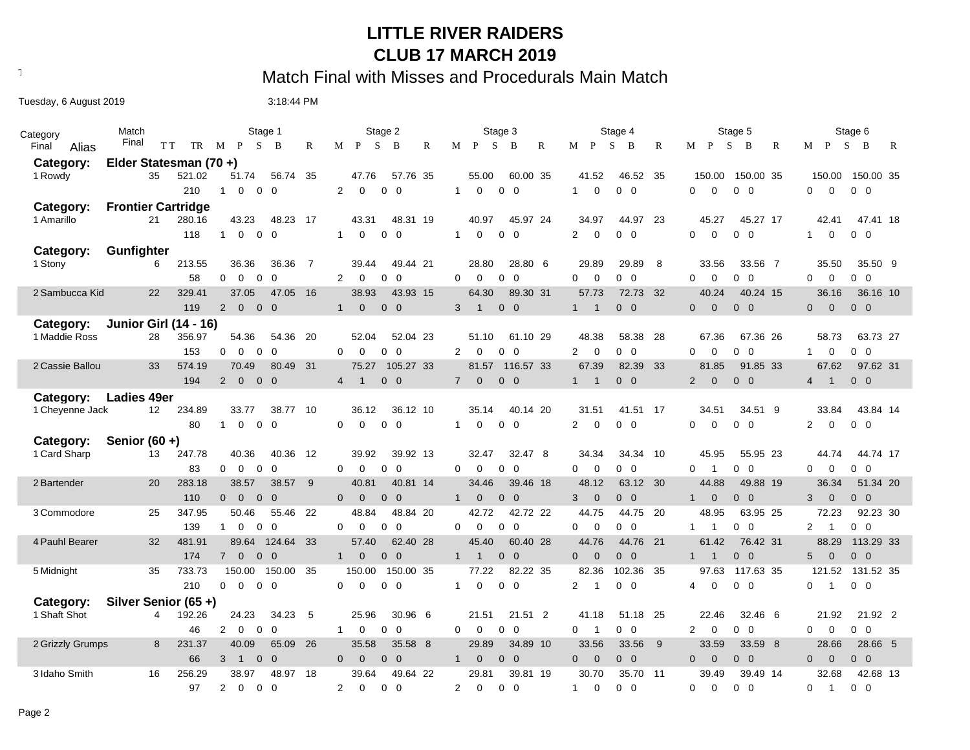### **LITTLE RIVER RAIDERS CLUB 17 MARCH 2019**

# Text497: Match Final with Misses and Procedurals Main Match

Tuesday, 6 August 2019 **1992 12:00 12:00 13:18:44 PM** 

| Category                               | Match                        | Stage 1                                                                     | Stage 2                                           | Stage 3                                                        | Stage 4                                      | Stage 5                                                            | Stage 6                                                      |  |
|----------------------------------------|------------------------------|-----------------------------------------------------------------------------|---------------------------------------------------|----------------------------------------------------------------|----------------------------------------------|--------------------------------------------------------------------|--------------------------------------------------------------|--|
| Final<br>Alias                         | Final                        | S<br>$\overline{B}$<br>T T<br>TR<br>M P                                     | <sub>S</sub><br>R<br>$M$ $P$<br>B<br>$\mathbb{R}$ | S.<br>M<br>$\mathbf{P}$<br>B<br>R                              | S<br>M P<br>B<br>R                           | S<br>B<br>$M$ $P$<br>R                                             | $M$ $P$<br>S<br>$\mathbf{B}$<br>R                            |  |
| Category:<br>Elder Statesman (70 +)    |                              |                                                                             |                                                   |                                                                |                                              |                                                                    |                                                              |  |
| 1 Rowdy                                | 35                           | 56.74 35<br>521.02<br>51.74                                                 | 47.76<br>57.76 35                                 | 55.00<br>60.00 35                                              | 46.52<br>- 35<br>41.52                       | 150.00 35<br>150.00                                                | 150.00<br>150.00 35                                          |  |
|                                        |                              | 210<br>$\mathbf 0$<br>$\mathbf 0$<br>$\mathbf 0$<br>$\mathbf{1}$            | 2<br>$\mathbf 0$<br>$0\quad 0$                    | $0\quad 0$<br>$\mathbf{1}$<br>$\mathbf 0$                      | $\mathbf 0$<br>$0\quad 0$<br>1               | $\Omega$<br>$\mathbf 0$<br>$\overline{0}$<br>0                     | $0\quad 0$<br>$\Omega$<br>$\mathbf 0$                        |  |
| <b>Frontier Cartridge</b><br>Category: |                              |                                                                             |                                                   |                                                                |                                              |                                                                    |                                                              |  |
| 1 Amarillo                             | 21                           | 280.16<br>43.23<br>48.23 17                                                 | 43.31<br>48.31 19                                 | 40.97<br>45.97 24                                              | 34.97<br>44.97<br>23                         | 45.27<br>45.27 17                                                  | 42.41<br>47.41 18                                            |  |
|                                        |                              | 118<br>$\mathbf 0$<br>$\overline{0}$<br>$\Omega$<br>$\overline{1}$          | $\Omega$<br>$0\quad 0$<br>$\mathbf{1}$            | $\mathbf{1}$<br>$\Omega$<br>$0\quad 0$                         | $\mathbf 0$<br>2<br>$0\quad 0$               | $\Omega$<br>$\Omega$<br>0<br>$\mathbf 0$                           | 0<br>$0\quad 0$<br>$\mathbf{1}$                              |  |
| Category:                              | Gunfighter                   |                                                                             |                                                   |                                                                |                                              |                                                                    |                                                              |  |
| 1 Stony                                | 6                            | 213.55<br>36.36<br>36.36                                                    | -7<br>39.44<br>49.44 21                           | 28.80 6<br>28.80                                               | 29.89<br>29.89<br>- 8                        | 33.56<br>33.56 7                                                   | 35.50<br>35.50 9                                             |  |
|                                        |                              | $\mathbf 0$<br>$\mathbf 0$<br>$\Omega$<br>58<br>$\overline{0}$              | 2<br>$\mathbf 0$<br>$0\quad 0$                    | $\mathbf 0$<br>$0\quad 0$<br>0                                 | $\mathbf 0$<br>$\mathbf 0$<br>$0\quad 0$     | $\mathbf 0$<br>$\Omega$<br>$\mathbf 0$<br>$\mathbf 0$              | $\mathbf{0}$<br>$\mathbf 0$<br>$0\quad 0$                    |  |
| 2 Sambucca Kid                         | 22                           | 37.05<br>329.41<br>47.05                                                    | 16<br>38.93<br>43.93 15                           | 64.30<br>89.30 31                                              | 57.73<br>72.73<br>- 32                       | 40.24<br>40.24 15                                                  | 36.16<br>36.16 10                                            |  |
|                                        |                              | $\mathbf 0$<br>$0\quad 0$<br>119<br>$2^{\circ}$                             | $0\quad 0$<br>$\mathbf 0$<br>1                    | $0\quad 0$<br>3<br>$\overline{1}$                              | $\sqrt{1}$<br>$0\quad 0$<br>1                | $\overline{0}$<br>$\mathbf{0}$<br>$0\quad 0$                       | $\overline{0}$<br>$\overline{0}$<br>$0\quad 0$               |  |
| Category:                              | <b>Junior Girl (14 - 16)</b> |                                                                             |                                                   |                                                                |                                              |                                                                    |                                                              |  |
| 1 Maddie Ross                          | 28                           | 356.97<br>54.36<br>54.36                                                    | -20<br>52.04<br>52.04 23                          | 51.10<br>61.10 29                                              | 48.38<br>58.38<br>-28                        | 67.36 26<br>67.36                                                  | 63.73 27<br>58.73                                            |  |
|                                        |                              | $\mathbf 0$<br>153<br>$\mathbf 0$<br>$\overline{0}$<br>$\Omega$             | $0\quad 0$<br>$\Omega$<br>$\mathbf 0$             | $0\quad 0$<br>$\overline{2}$<br>0                              | $0\quad 0$<br>$\overline{2}$<br>$\mathbf{0}$ | $\overline{0}$<br>$\Omega$<br>$\mathbf 0$<br>$\mathbf 0$           | $0\quad 0$<br>$\mathbf 0$<br>$\mathbf{1}$                    |  |
| 2 Cassie Ballou                        | 33                           | 574.19<br>70.49<br>80.49                                                    | 31<br>75.27<br>105.27 33                          | 81.57<br>116.57 33                                             | 67.39<br>82.39 33                            | 81.85<br>91.85 33                                                  | 67.62<br>97.62 31                                            |  |
|                                        |                              | 194<br>$2 \quad 0$<br>$0\quad 0$                                            | $0\quad 0$<br>4<br>$\overline{1}$                 | $7^{\circ}$<br>$\mathbf 0$<br>$0\quad 0$                       | $1 \quad 1$<br>$0\quad 0$                    | $\overline{0}$<br>$0\quad 0$<br>$2^{\circ}$                        | $\overline{1}$<br>$0\quad 0$<br>$\overline{4}$               |  |
| Category:                              | <b>Ladies 49er</b>           |                                                                             |                                                   |                                                                |                                              |                                                                    |                                                              |  |
| 1 Cheyenne Jack                        | $12 \overline{ }$            | 234.89<br>33.77<br>38.77 10                                                 | 36.12<br>36.12 10                                 | 35.14<br>40.14 20                                              | 31.51<br>41.51 17                            | 34.51<br>34.51 9                                                   | 43.84 14<br>33.84                                            |  |
|                                        |                              | 80<br>$\mathbf 0$<br>$\overline{0}$<br>$\overline{0}$<br>$\mathbf{1}$       | $\Omega$<br>$\Omega$<br>$0\quad 0$                | $\mathbf{1}$<br>$\mathbf 0$<br>$0\quad 0$                      | $\overline{2}$<br>$\mathbf 0$<br>$0\quad 0$  | $\mathbf 0$<br>$\mathbf 0$<br>$\mathbf 0$<br>$\overline{0}$        | $\overline{2}$<br>$\mathbf 0$<br>$0\quad 0$                  |  |
| Category:                              | Senior $(60 +)$              |                                                                             |                                                   |                                                                |                                              |                                                                    |                                                              |  |
| 1 Card Sharp                           | 13                           | 247.78<br>40.36<br>40.36 12                                                 | 39.92<br>39.92 13                                 | 32.47 8<br>32.47                                               | 34.34<br>34.34 10                            | 45.95<br>55.95 23                                                  | 44.74<br>44.74 17                                            |  |
|                                        |                              | $\mathbf 0$<br>$\Omega$<br>83<br>$\Omega$<br>$\Omega$                       | $0\quad 0$<br>$\Omega$<br>$\overline{0}$          | $0\quad 0$<br>$\Omega$<br>$\Omega$                             | $0\quad 0$<br>$\Omega$<br>$\Omega$           | $\overline{0}$<br>$\Omega$<br>$\Omega$<br>$\overline{1}$           | $\Omega$<br>$\mathbf 0$<br>$0\quad 0$                        |  |
| 2 Bartender                            | 20                           | 283.18<br>38.57<br>38.57                                                    | - 9<br>40.81<br>40.81 14                          | 34.46<br>39.46 18                                              | 48.12<br>63.12 30                            | 44.88<br>49.88 19                                                  | 36.34<br>51.34 20                                            |  |
|                                        |                              | 110<br>$\overline{0}$<br>$\overline{0}$<br>$\overline{0}$<br>$\overline{0}$ | $\overline{0}$<br>$0\quad 0$<br>$\overline{0}$    | $\mathbf{0}$<br>$0\quad 0$<br>$\mathbf{1}$                     | $\overline{0}$<br>$0\quad 0$<br>3            | $\overline{0}$<br>$0\quad 0$<br>$1 \quad$                          | $\overline{0}$<br>$0\quad 0$<br>$\mathbf{3}$                 |  |
| 3 Commodore                            | 25                           | 347.95<br>50.46<br>55.46 22                                                 | 48.84<br>48.84 20                                 | 42.72<br>42.72 22                                              | 44.75<br>44.75 20                            | 48.95<br>63.95 25                                                  | 72.23<br>92.23 30                                            |  |
|                                        |                              | 139<br>$\mathbf 0$<br>$\mathbf{1}$<br>$\mathbf 0$<br>$\Omega$               | $\mathbf 0$<br>$0\quad 0$<br>$\Omega$             | $\mathbf 0$<br>$\overline{\mathbf{0}}$<br>$\Omega$<br>$\Omega$ | $0\quad 0$<br>$\Omega$<br>$\mathbf{0}$       | $\overline{0}$<br>$\mathbf{1}$<br>0<br>$\overline{1}$              | $0\quad 0$<br>$\overline{2}$<br>$\overline{1}$               |  |
| 4 Pauhl Bearer                         | 32                           | 481.91<br>124.64<br>89.64                                                   | 33<br>57.40<br>62.40 28                           | 60.40 28<br>45.40                                              | 44.76 21<br>44.76                            | 61.42<br>76.42 31                                                  | 88.29<br>113.29 33                                           |  |
|                                        |                              | 174<br>$7\quad 0$<br>$\overline{0}$<br>$\overline{0}$                       | $0\quad 0$<br>$\mathbf 0$<br>$\mathbf{1}$         | $0\quad 0$<br>$\mathbf{1}$<br>$\mathbf{1}$                     | $\mathbf{0}$<br>$0\quad 0$<br>$\overline{0}$ | $\overline{0}$<br>$\overline{0}$<br>1<br>$\overline{1}$            | $0\quad 0$<br>$\overline{0}$<br>$5^{\circ}$                  |  |
| 5 Midnight                             | 35                           | 733.73<br>150.00<br>150.00                                                  | -35<br>150.00<br>150.00 35                        | 77.22<br>82.22 35                                              | 82.36<br>102.36<br>- 35                      | 97.63<br>117.63 35                                                 | 121.52<br>131.52 35                                          |  |
|                                        |                              | $\Omega$<br>$\Omega$<br>$0\quad 0$<br>210                                   | $\Omega$<br>$0\quad 0$<br>0                       | $0\quad 0$<br>$\Omega$<br>$\mathbf{1}$                         | $0\quad 0$<br>2<br>$\overline{1}$            | $\Omega$<br>$0\quad 0$<br>4                                        | $0\quad 0$<br>$\Omega$<br>$\overline{1}$                     |  |
| Silver Senior (65+)<br>Category:       |                              |                                                                             |                                                   |                                                                |                                              |                                                                    |                                                              |  |
| 1 Shaft Shot                           | 4                            | 24.23<br>192.26<br>34.23                                                    | -5<br>25.96<br>30.96 6                            | 21.51<br>21.51 2                                               | 41.18<br>51.18<br>-25                        | 22.46<br>32.46 6                                                   | 21.92<br>21.92 2                                             |  |
|                                        |                              | $\overline{2}$<br>$\mathbf 0$<br>$\mathbf 0$<br>46<br>$\mathbf 0$           | 0<br>$\overline{0}$<br>0<br>$\mathbf{1}$          | $\overline{0}$<br>$\Omega$<br>0<br>0                           | $0\quad 0$<br>0<br>$\overline{1}$            | $\overline{2}$<br>$\mathbf 0$<br>$\mathbf 0$<br>0                  | $\mathbf 0$<br>$\mathbf{0}$<br>$\overline{0}$<br>$\mathbf 0$ |  |
| 2 Grizzly Grumps                       | 8                            | 231.37<br>40.09<br>65.09                                                    | - 26<br>35.58<br>35.58 8                          | 29.89<br>34.89 10                                              | 33.56<br>33.56<br>9                          | 33.59<br>33.59 8                                                   | 28.66<br>28.66 5                                             |  |
|                                        |                              | 66<br>$\overline{0}$<br>$\overline{0}$<br>3<br>$\overline{1}$               | $\overline{0}$<br>$\mathbf 0$<br>$0\quad 0$       | $0\quad 0$<br>$\mathbf{0}$<br>$\overline{1}$                   | $\overline{0}$<br>$\mathbf{0}$<br>$0\quad 0$ | $\overline{0}$<br>$\overline{0}$<br>$\mathbf{0}$<br>$\overline{0}$ | $\overline{0}$<br>$\overline{0}$<br>$0\quad 0$               |  |
| 3 Idaho Smith                          | 16                           | 38.97<br>256.29<br>48.97                                                    | 18<br>39.64<br>49.64 22                           | 29.81<br>39.81 19                                              | 30.70<br>35.70 11                            | 39.49<br>39.49 14                                                  | 32.68<br>42.68 13                                            |  |
|                                        |                              | $\overline{2}$<br>$\mathbf 0$<br>$\mathbf{0}$<br>97<br>$\Omega$             | $\overline{2}$<br>$\mathbf 0$<br>$0\quad 0$       | $\overline{2}$<br>$\Omega$<br>$0\quad 0$                       | $\mathbf 0$<br>$0\quad 0$<br>$\mathbf{1}$    | $\Omega$<br>0<br>$\mathbf 0$<br>$\mathbf 0$                        | $0\quad 0$<br>$\mathbf 0$<br>$\overline{1}$                  |  |